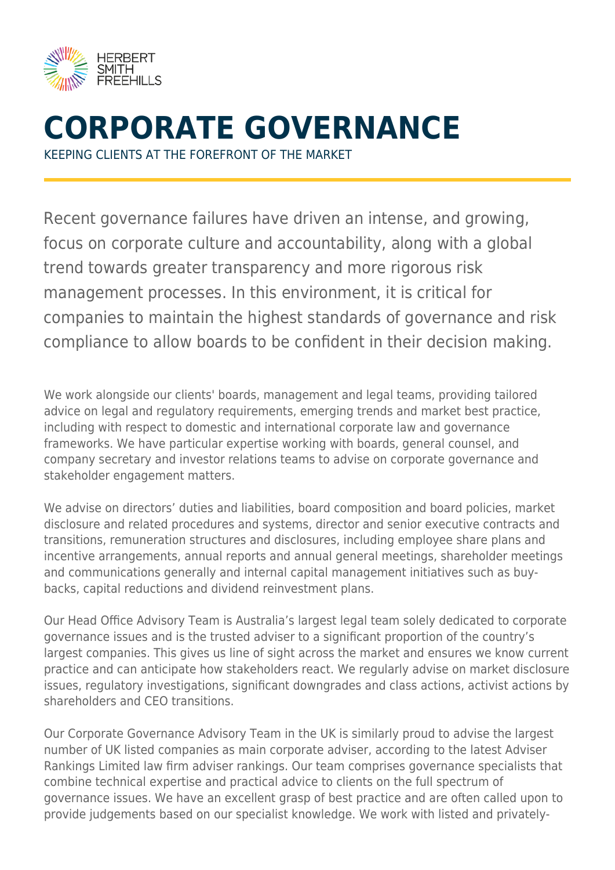

# **CORPORATE GOVERNANCE**

KEEPING CLIENTS AT THE FOREFRONT OF THE MARKET

Recent governance failures have driven an intense, and growing, focus on corporate culture and accountability, along with a global trend towards greater transparency and more rigorous risk management processes. In this environment, it is critical for companies to maintain the highest standards of governance and risk compliance to allow boards to be confident in their decision making.

We work alongside our clients' boards, management and legal teams, providing tailored advice on legal and regulatory requirements, emerging trends and market best practice, including with respect to domestic and international corporate law and governance frameworks. We have particular expertise working with boards, general counsel, and company secretary and investor relations teams to advise on corporate governance and stakeholder engagement matters.

We advise on directors' duties and liabilities, board composition and board policies, market disclosure and related procedures and systems, director and senior executive contracts and transitions, remuneration structures and disclosures, including employee share plans and incentive arrangements, annual reports and annual general meetings, shareholder meetings and communications generally and internal capital management initiatives such as buybacks, capital reductions and dividend reinvestment plans.

Our Head Office Advisory Team is Australia's largest legal team solely dedicated to corporate governance issues and is the trusted adviser to a significant proportion of the country's largest companies. This gives us line of sight across the market and ensures we know current practice and can anticipate how stakeholders react. We regularly advise on market disclosure issues, regulatory investigations, significant downgrades and class actions, activist actions by shareholders and CEO transitions.

Our Corporate Governance Advisory Team in the UK is similarly proud to advise the largest number of UK listed companies as main corporate adviser, according to the latest Adviser Rankings Limited law firm adviser rankings. Our team comprises governance specialists that combine technical expertise and practical advice to clients on the full spectrum of governance issues. We have an excellent grasp of best practice and are often called upon to provide judgements based on our specialist knowledge. We work with listed and privately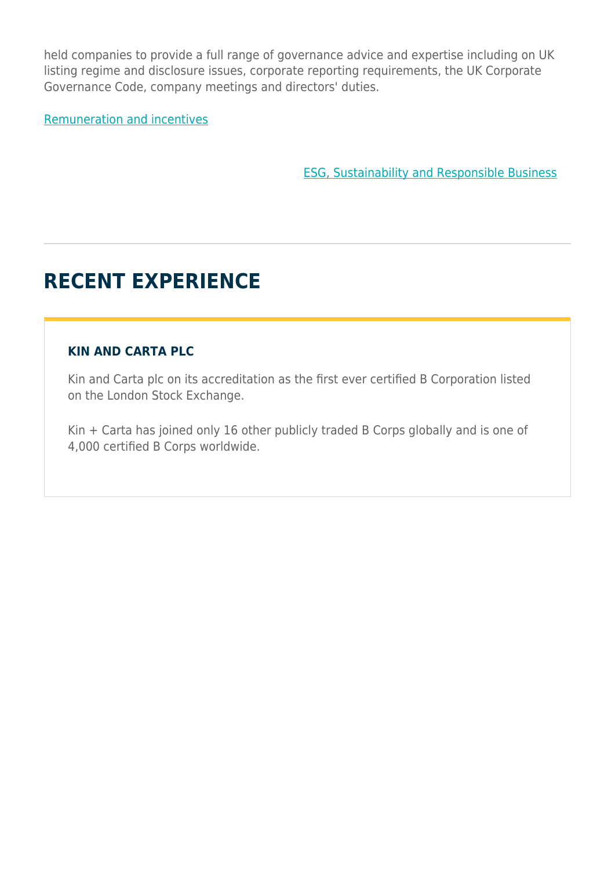held companies to provide a full range of governance advice and expertise including on UK listing regime and disclosure issues, corporate reporting requirements, the UK Corporate Governance Code, company meetings and directors' duties.

[Remuneration and incentives](https://www.herbertsmithfreehills.com/our-expertise/services/remuneration-and-incentives)

[ESG, Sustainability and Responsible Business](https://www.herbertsmithfreehills.com/our-expertise/services/esg-sustainability-and-responsible-business)

## **RECENT EXPERIENCE**

#### **KIN AND CARTA PLC**

Kin and Carta plc on its accreditation as the first ever certified B Corporation listed on the London Stock Exchange.

Kin + Carta has joined only 16 other publicly traded B Corps globally and is one of 4,000 certified B Corps worldwide.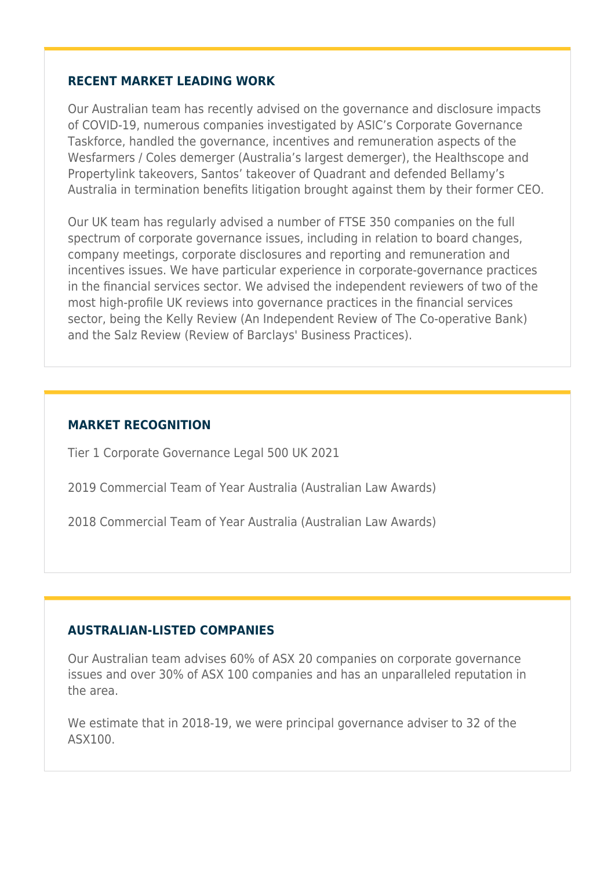#### **RECENT MARKET LEADING WORK**

Our Australian team has recently advised on the governance and disclosure impacts of COVID-19, numerous companies investigated by ASIC's Corporate Governance Taskforce, handled the governance, incentives and remuneration aspects of the Wesfarmers / Coles demerger (Australia's largest demerger), the Healthscope and Propertylink takeovers, Santos' takeover of Quadrant and defended Bellamy's Australia in termination benefits litigation brought against them by their former CEO.

Our UK team has regularly advised a number of FTSE 350 companies on the full spectrum of corporate governance issues, including in relation to board changes, company meetings, corporate disclosures and reporting and remuneration and incentives issues. We have particular experience in corporate-governance practices in the financial services sector. We advised the independent reviewers of two of the most high-profile UK reviews into governance practices in the financial services sector, being the Kelly Review (An Independent Review of The Co-operative Bank) and the Salz Review (Review of Barclays' Business Practices).

#### **MARKET RECOGNITION**

Tier 1 Corporate Governance Legal 500 UK 2021

2019 Commercial Team of Year Australia (Australian Law Awards)

2018 Commercial Team of Year Australia (Australian Law Awards)

#### **AUSTRALIAN-LISTED COMPANIES**

Our Australian team advises 60% of ASX 20 companies on corporate governance issues and over 30% of ASX 100 companies and has an unparalleled reputation in the area.

We estimate that in 2018-19, we were principal governance adviser to 32 of the ASX100.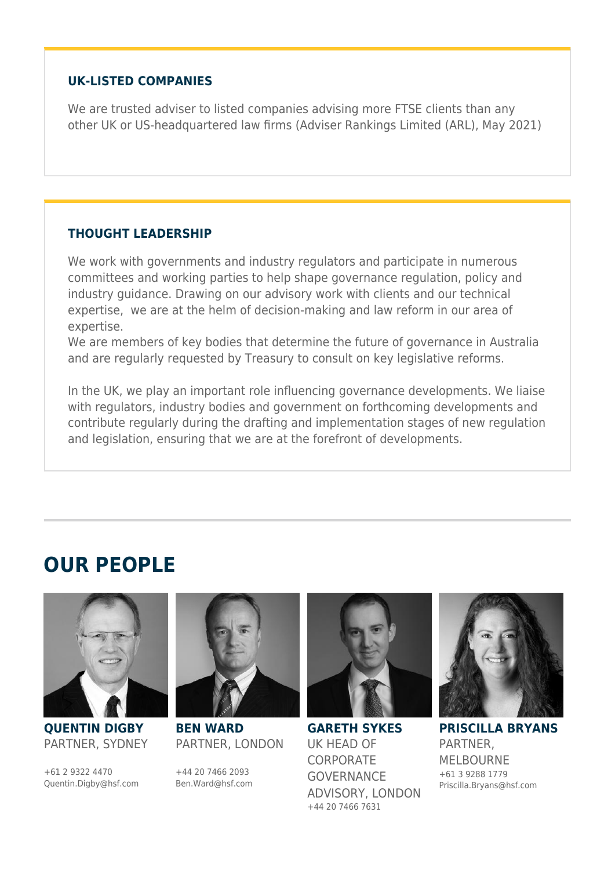#### **UK-LISTED COMPANIES**

We are trusted adviser to listed companies advising more FTSE clients than any other UK or US-headquartered law firms (Adviser Rankings Limited (ARL), May 2021)

#### **THOUGHT LEADERSHIP**

We work with governments and industry regulators and participate in numerous committees and working parties to help shape governance regulation, policy and industry guidance. Drawing on our advisory work with clients and our technical expertise, we are at the helm of decision-making and law reform in our area of expertise.

We are members of key bodies that determine the future of governance in Australia and are regularly requested by Treasury to consult on key legislative reforms.

In the UK, we play an important role influencing governance developments. We liaise with regulators, industry bodies and government on forthcoming developments and contribute regularly during the drafting and implementation stages of new regulation and legislation, ensuring that we are at the forefront of developments.

### **OUR PEOPLE**



**QUENTIN DIGBY** PARTNER, SYDNEY

+61 2 9322 4470 Quentin.Digby@hsf.com



**BEN WARD** PARTNER, LONDON

+44 20 7466 2093 Ben.Ward@hsf.com



**GARETH SYKES** UK HEAD OF **CORPORATE** GOVERNANCE ADVISORY, LONDON +44 20 7466 7631



**PRISCILLA BRYANS** PARTNER, MELBOURNE +61 3 9288 1779 Priscilla.Bryans@hsf.com